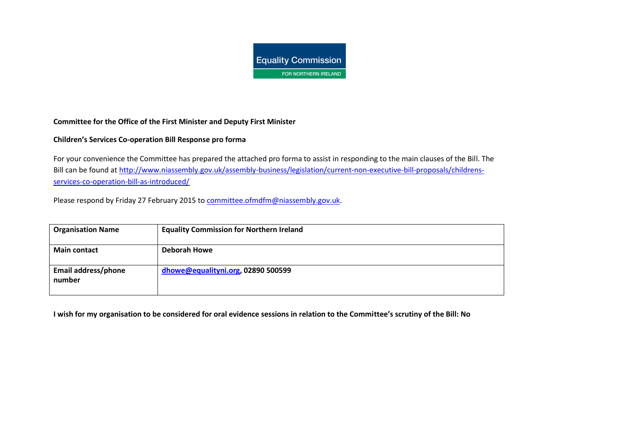

## **[Committee for the Office of the First Min](http://www.niassembly.gov.uk/assembly-business/legislation/current-non-executive-bill-proposals/childrens-services-co-operation-bill-as-introduced/)ister and Deputy First Minister**

## **Children's Services Co-operation Bill Respon[se pro forma](mailto:committee.ofmdfm@niassembly.gov.uk)**

For your convenience the Committee has prepared the attached pro forma to assist in responding to the main clauses of the Bill. The Bill can be found at http://www.niassembly.gov.uk/assembly-business/legislation/current-non-executive-bill-proposals/childrensservices-co-operation-bill-as-introduced/

Please respond by Friday 27 February 2015 to committee.ofmdfm@niassembly.gov.uk.

| <b>Organisation Name</b>      | <b>Equality Commission for Northern Ireland</b> |
|-------------------------------|-------------------------------------------------|
| <b>Main contact</b>           | <b>Deborah Howe</b>                             |
| Email address/phone<br>number | dhowe@equalityni.org, 02890 500599              |

**I wish for my organisation to be considered for oral evidence sessions in relation to the Committee's scrutiny of the Bill: No**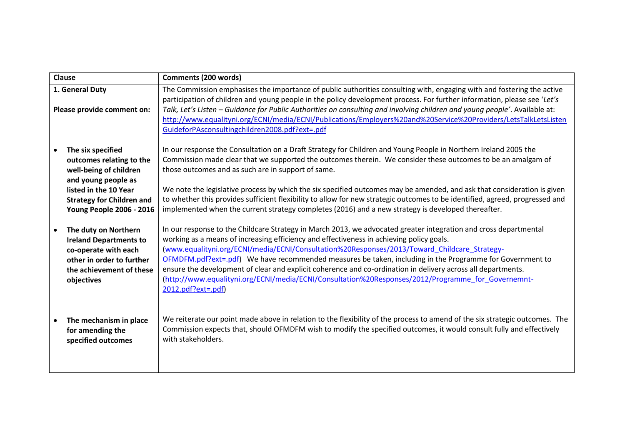| Clause                                                                                                                                                                                         | <b>Comments (200 words)</b>                                                                                                                                                                                                                                                                                                                                                                                                                                                                                                                                                                                                                                          |
|------------------------------------------------------------------------------------------------------------------------------------------------------------------------------------------------|----------------------------------------------------------------------------------------------------------------------------------------------------------------------------------------------------------------------------------------------------------------------------------------------------------------------------------------------------------------------------------------------------------------------------------------------------------------------------------------------------------------------------------------------------------------------------------------------------------------------------------------------------------------------|
| 1. General Duty<br>Please provide comment on:                                                                                                                                                  | The Commission emphasises the importance of public authorities consulting with, engaging with and fostering the active<br>participation of children and young people in the policy development process. For further information, please see 'Let's<br>Talk, Let's Listen - Guidance for Public Authorities on consulting and involving children and young people'. Available at:<br>http://www.equalityni.org/ECNI/media/ECNI/Publications/Employers%20and%20Service%20Providers/LetsTalkLetsListen<br>GuideforPAsconsultingchildren2008.pdf?ext=.pdf                                                                                                                |
| The six specified<br>outcomes relating to the<br>well-being of children<br>and young people as<br>listed in the 10 Year<br><b>Strategy for Children and</b><br><b>Young People 2006 - 2016</b> | In our response the Consultation on a Draft Strategy for Children and Young People in Northern Ireland 2005 the<br>Commission made clear that we supported the outcomes therein. We consider these outcomes to be an amalgam of<br>those outcomes and as such are in support of same.<br>We note the legislative process by which the six specified outcomes may be amended, and ask that consideration is given<br>to whether this provides sufficient flexibility to allow for new strategic outcomes to be identified, agreed, progressed and<br>implemented when the current strategy completes (2016) and a new strategy is developed thereafter.               |
| The duty on Northern<br><b>Ireland Departments to</b><br>co-operate with each<br>other in order to further<br>the achievement of these<br>objectives                                           | In our response to the Childcare Strategy in March 2013, we advocated greater integration and cross departmental<br>working as a means of increasing efficiency and effectiveness in achieving policy goals.<br>(www.equalityni.org/ECNI/media/ECNI/Consultation%20Responses/2013/Toward_Childcare_Strategy-<br>OFMDFM.pdf?ext=.pdf) We have recommended measures be taken, including in the Programme for Government to<br>ensure the development of clear and explicit coherence and co-ordination in delivery across all departments.<br>(http://www.equalityni.org/ECNI/media/ECNI/Consultation%20Responses/2012/Programme for Governemnt-<br>2012.pdf?ext=.pdf) |
| The mechanism in place<br>for amending the<br>specified outcomes                                                                                                                               | We reiterate our point made above in relation to the flexibility of the process to amend of the six strategic outcomes. The<br>Commission expects that, should OFMDFM wish to modify the specified outcomes, it would consult fully and effectively<br>with stakeholders.                                                                                                                                                                                                                                                                                                                                                                                            |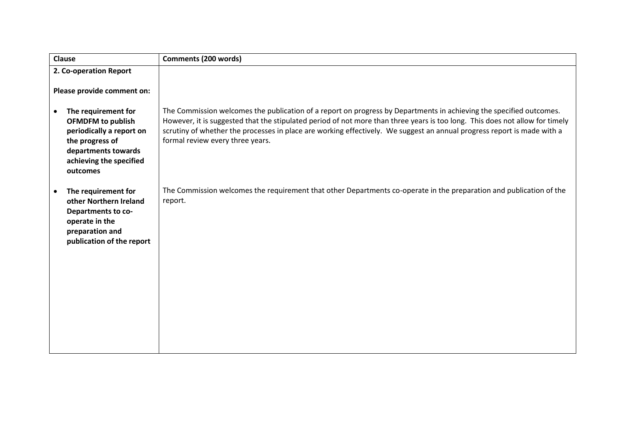| <b>Clause</b>                                                                                                                                                             | <b>Comments (200 words)</b>                                                                                                                                                                                                                                                                                                                                                                                        |
|---------------------------------------------------------------------------------------------------------------------------------------------------------------------------|--------------------------------------------------------------------------------------------------------------------------------------------------------------------------------------------------------------------------------------------------------------------------------------------------------------------------------------------------------------------------------------------------------------------|
| 2. Co-operation Report                                                                                                                                                    |                                                                                                                                                                                                                                                                                                                                                                                                                    |
| Please provide comment on:                                                                                                                                                |                                                                                                                                                                                                                                                                                                                                                                                                                    |
| The requirement for<br>$\bullet$<br><b>OFMDFM</b> to publish<br>periodically a report on<br>the progress of<br>departments towards<br>achieving the specified<br>outcomes | The Commission welcomes the publication of a report on progress by Departments in achieving the specified outcomes.<br>However, it is suggested that the stipulated period of not more than three years is too long. This does not allow for timely<br>scrutiny of whether the processes in place are working effectively. We suggest an annual progress report is made with a<br>formal review every three years. |
| The requirement for<br>other Northern Ireland<br>Departments to co-<br>operate in the<br>preparation and<br>publication of the report                                     | The Commission welcomes the requirement that other Departments co-operate in the preparation and publication of the<br>report.                                                                                                                                                                                                                                                                                     |
|                                                                                                                                                                           |                                                                                                                                                                                                                                                                                                                                                                                                                    |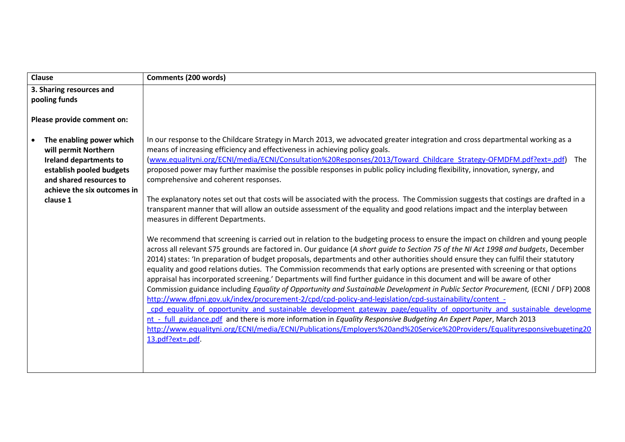| <b>Clause</b>                                                                                                                                                                       | <b>Comments (200 words)</b>                                                                                                                                                                                                                                                                                                                                                                                                                                                                                                                                                                                                                                                                                                                                                                                                                                                                                                                                                                                                                                                                                                                                                                                                                                                                                                                                                                                                                                                                                                                                                                                                                                                                                                                                                                                                                                                                                                                                                                                                                                                                                                                                   |
|-------------------------------------------------------------------------------------------------------------------------------------------------------------------------------------|---------------------------------------------------------------------------------------------------------------------------------------------------------------------------------------------------------------------------------------------------------------------------------------------------------------------------------------------------------------------------------------------------------------------------------------------------------------------------------------------------------------------------------------------------------------------------------------------------------------------------------------------------------------------------------------------------------------------------------------------------------------------------------------------------------------------------------------------------------------------------------------------------------------------------------------------------------------------------------------------------------------------------------------------------------------------------------------------------------------------------------------------------------------------------------------------------------------------------------------------------------------------------------------------------------------------------------------------------------------------------------------------------------------------------------------------------------------------------------------------------------------------------------------------------------------------------------------------------------------------------------------------------------------------------------------------------------------------------------------------------------------------------------------------------------------------------------------------------------------------------------------------------------------------------------------------------------------------------------------------------------------------------------------------------------------------------------------------------------------------------------------------------------------|
| 3. Sharing resources and<br>pooling funds                                                                                                                                           |                                                                                                                                                                                                                                                                                                                                                                                                                                                                                                                                                                                                                                                                                                                                                                                                                                                                                                                                                                                                                                                                                                                                                                                                                                                                                                                                                                                                                                                                                                                                                                                                                                                                                                                                                                                                                                                                                                                                                                                                                                                                                                                                                               |
| Please provide comment on:                                                                                                                                                          |                                                                                                                                                                                                                                                                                                                                                                                                                                                                                                                                                                                                                                                                                                                                                                                                                                                                                                                                                                                                                                                                                                                                                                                                                                                                                                                                                                                                                                                                                                                                                                                                                                                                                                                                                                                                                                                                                                                                                                                                                                                                                                                                                               |
| The enabling power which<br>will permit Northern<br><b>Ireland departments to</b><br>establish pooled budgets<br>and shared resources to<br>achieve the six outcomes in<br>clause 1 | In our response to the Childcare Strategy in March 2013, we advocated greater integration and cross departmental working as a<br>means of increasing efficiency and effectiveness in achieving policy goals.<br>(www.equalityni.org/ECNI/media/ECNI/Consultation%20Responses/2013/Toward Childcare Strategy-OFMDFM.pdf?ext=.pdf)<br>The<br>proposed power may further maximise the possible responses in public policy including flexibility, innovation, synergy, and<br>comprehensive and coherent responses.<br>The explanatory notes set out that costs will be associated with the process. The Commission suggests that costings are drafted in a<br>transparent manner that will allow an outside assessment of the equality and good relations impact and the interplay between<br>measures in different Departments.<br>We recommend that screening is carried out in relation to the budgeting process to ensure the impact on children and young people<br>across all relevant S75 grounds are factored in. Our guidance (A short guide to Section 75 of the NI Act 1998 and budgets, December<br>2014) states: 'In preparation of budget proposals, departments and other authorities should ensure they can fulfil their statutory<br>equality and good relations duties. The Commission recommends that early options are presented with screening or that options<br>appraisal has incorporated screening.' Departments will find further guidance in this document and will be aware of other<br>Commission guidance including Equality of Opportunity and Sustainable Development in Public Sector Procurement, (ECNI / DFP) 2008<br>http://www.dfpni.gov.uk/index/procurement-2/cpd/cpd-policy-and-legislation/cpd-sustainability/content -<br>cpd equality of opportunity and sustainable development gateway page/equality of opportunity and sustainable developme<br>nt - full guidance.pdf and there is more information in Equality Responsive Budgeting An Expert Paper, March 2013<br>http://www.equalityni.org/ECNI/media/ECNI/Publications/Employers%20and%20Service%20Providers/Equalityresponsivebugeting20<br>13.pdf?ext=.pdf. |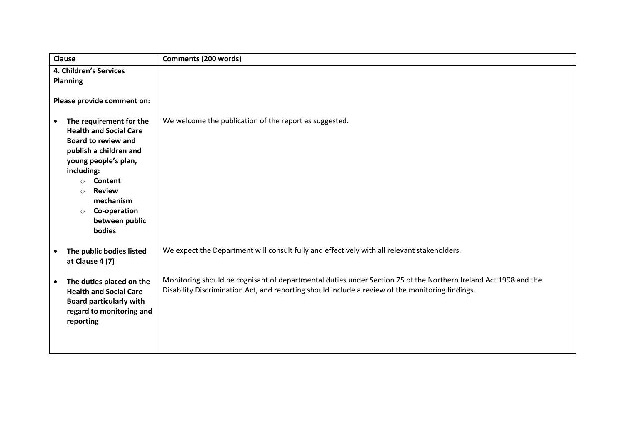| Clause                                                                                                                                                                                                                                                                                    | <b>Comments (200 words)</b>                                                                                                                                                                                         |
|-------------------------------------------------------------------------------------------------------------------------------------------------------------------------------------------------------------------------------------------------------------------------------------------|---------------------------------------------------------------------------------------------------------------------------------------------------------------------------------------------------------------------|
| 4. Children's Services<br><b>Planning</b><br>Please provide comment on:                                                                                                                                                                                                                   |                                                                                                                                                                                                                     |
| The requirement for the<br>$\bullet$<br><b>Health and Social Care</b><br><b>Board to review and</b><br>publish a children and<br>young people's plan,<br>including:<br>Content<br>$\circ$<br><b>Review</b><br>$\circ$<br>mechanism<br>Co-operation<br>$\circ$<br>between public<br>bodies | We welcome the publication of the report as suggested.                                                                                                                                                              |
| The public bodies listed<br>$\bullet$<br>at Clause 4 (7)                                                                                                                                                                                                                                  | We expect the Department will consult fully and effectively with all relevant stakeholders.                                                                                                                         |
| The duties placed on the<br>$\bullet$<br><b>Health and Social Care</b><br><b>Board particularly with</b><br>regard to monitoring and<br>reporting                                                                                                                                         | Monitoring should be cognisant of departmental duties under Section 75 of the Northern Ireland Act 1998 and the<br>Disability Discrimination Act, and reporting should include a review of the monitoring findings. |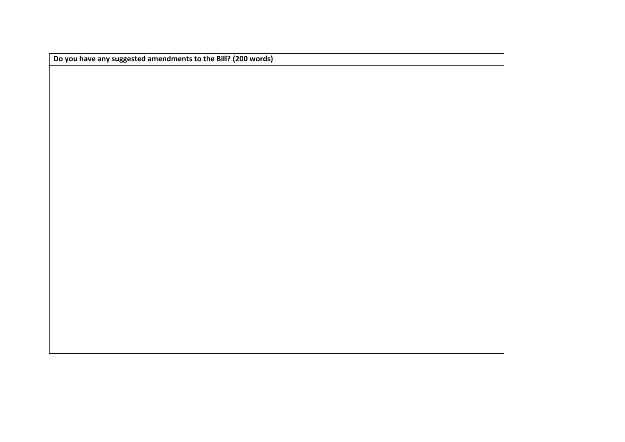**Do you have any suggested amendments to the Bill? (200 words)**